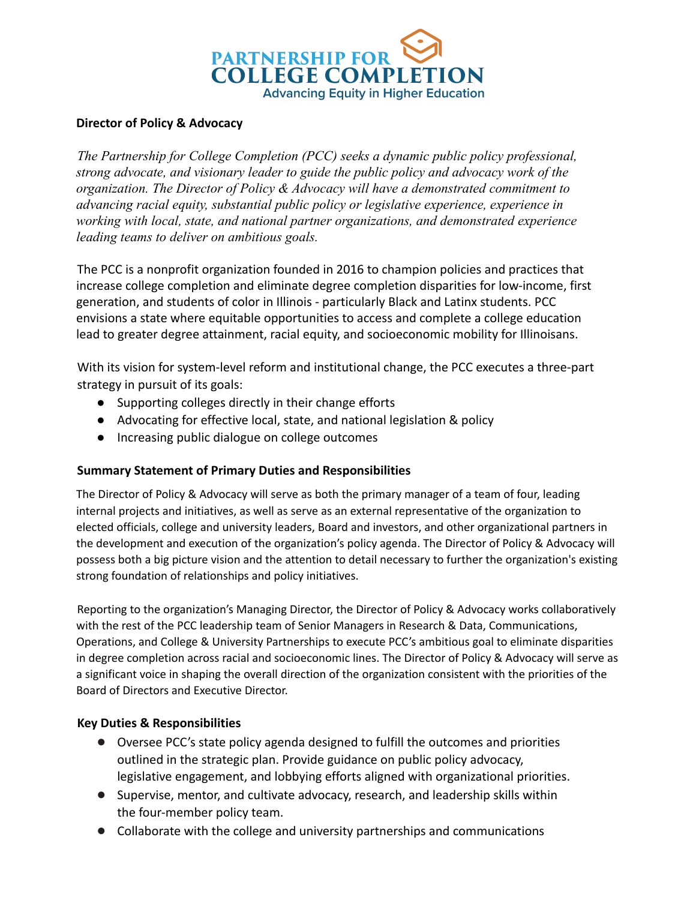

## **Director of Policy & Advocacy**

*The Partnership for College Completion (PCC) seeks a dynamic public policy professional, strong advocate, and visionary leader to guide the public policy and advocacy work of the organization. The Director of Policy & Advocacy will have a demonstrated commitment to advancing racial equity, substantial public policy or legislative experience, experience in working with local, state, and national partner organizations, and demonstrated experience leading teams to deliver on ambitious goals.*

The PCC is a nonprofit organization founded in 2016 to champion policies and practices that increase college completion and eliminate degree completion disparities for low-income, first generation, and students of color in Illinois - particularly Black and Latinx students. PCC envisions a state where equitable opportunities to access and complete a college education lead to greater degree attainment, racial equity, and socioeconomic mobility for Illinoisans.

With its vision for system-level reform and institutional change, the PCC executes a three-part strategy in pursuit of its goals:

- Supporting colleges directly in their change efforts
- Advocating for effective local, state, and national legislation & policy
- Increasing public dialogue on college outcomes

## **Summary Statement of Primary Duties and Responsibilities**

The Director of Policy & Advocacy will serve as both the primary manager of a team of four, leading internal projects and initiatives, as well as serve as an external representative of the organization to elected officials, college and university leaders, Board and investors, and other organizational partners in the development and execution of the organization's policy agenda. The Director of Policy & Advocacy will possess both a big picture vision and the attention to detail necessary to further the organization's existing strong foundation of relationships and policy initiatives.

Reporting to the organization's Managing Director, the Director of Policy & Advocacy works collaboratively with the rest of the PCC leadership team of Senior Managers in Research & Data, Communications, Operations, and College & University Partnerships to execute PCC's ambitious goal to eliminate disparities in degree completion across racial and socioeconomic lines. The Director of Policy & Advocacy will serve as a significant voice in shaping the overall direction of the organization consistent with the priorities of the Board of Directors and Executive Director.

## **Key Duties & Responsibilities**

- Oversee PCC's state policy agenda designed to fulfill the outcomes and priorities outlined in the strategic plan. Provide guidance on public policy advocacy, legislative engagement, and lobbying efforts aligned with organizational priorities.
- Supervise, mentor, and cultivate advocacy, research, and leadership skills within the four-member policy team.
- Collaborate with the college and university partnerships and communications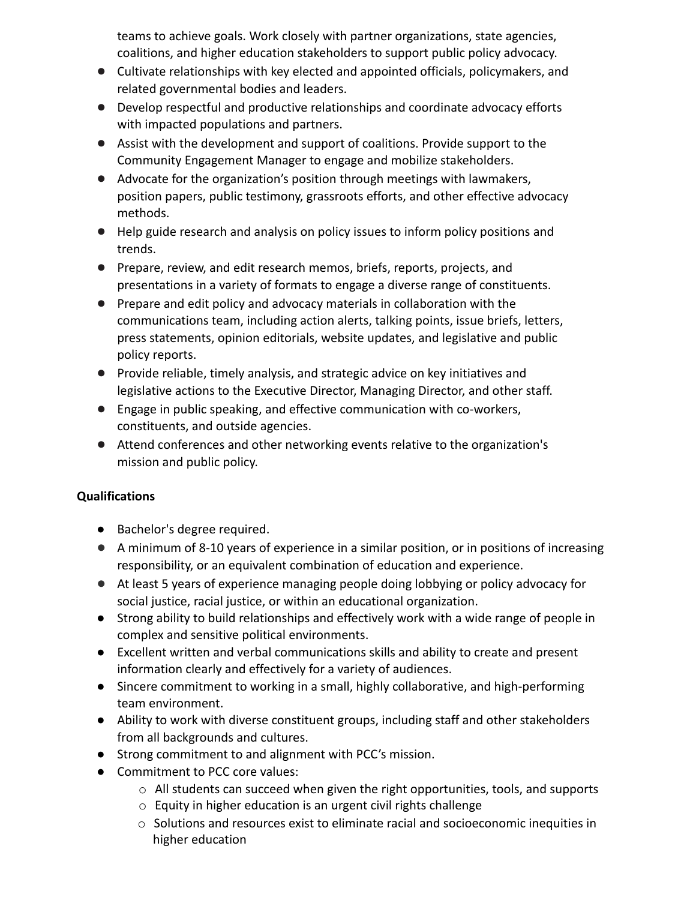teams to achieve goals. Work closely with partner organizations, state agencies, coalitions, and higher education stakeholders to support public policy advocacy.

- Cultivate relationships with key elected and appointed officials, policymakers, and related governmental bodies and leaders.
- Develop respectful and productive relationships and coordinate advocacy efforts with impacted populations and partners.
- Assist with the development and support of coalitions. Provide support to the Community Engagement Manager to engage and mobilize stakeholders.
- Advocate for the organization's position through meetings with lawmakers, position papers, public testimony, grassroots efforts, and other effective advocacy methods.
- Help guide research and analysis on policy issues to inform policy positions and trends.
- Prepare, review, and edit research memos, briefs, reports, projects, and presentations in a variety of formats to engage a diverse range of constituents.
- Prepare and edit policy and advocacy materials in collaboration with the communications team, including action alerts, talking points, issue briefs, letters, press statements, opinion editorials, website updates, and legislative and public policy reports.
- Provide reliable, timely analysis, and strategic advice on key initiatives and legislative actions to the Executive Director, Managing Director, and other staff.
- Engage in public speaking, and effective communication with co-workers, constituents, and outside agencies.
- Attend conferences and other networking events relative to the organization's mission and public policy.

## **Qualifications**

- Bachelor's degree required.
- A minimum of 8-10 years of experience in a similar position, or in positions of increasing responsibility, or an equivalent combination of education and experience.
- At least 5 years of experience managing people doing lobbying or policy advocacy for social justice, racial justice, or within an educational organization.
- Strong ability to build relationships and effectively work with a wide range of people in complex and sensitive political environments.
- Excellent written and verbal communications skills and ability to create and present information clearly and effectively for a variety of audiences.
- Sincere commitment to working in a small, highly collaborative, and high-performing team environment.
- Ability to work with diverse constituent groups, including staff and other stakeholders from all backgrounds and cultures.
- Strong commitment to and alignment with PCC's mission.
- Commitment to PCC core values:
	- $\circ$  All students can succeed when given the right opportunities, tools, and supports
	- o Equity in higher education is an urgent civil rights challenge
	- $\circ$  Solutions and resources exist to eliminate racial and socioeconomic inequities in higher education